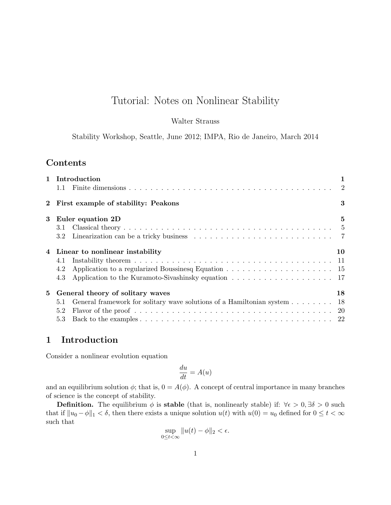# Tutorial: Notes on Nonlinear Stability

## Walter Strauss

Stability Workshop, Seattle, June 2012; IMPA, Rio de Janeiro, March 2014

## Contents

|             | 1 Introduction                                                                  |                |  |  |  |
|-------------|---------------------------------------------------------------------------------|----------------|--|--|--|
|             | 2 First example of stability: Peakons                                           | 3              |  |  |  |
| 3           | Euler equation 2D                                                               | $\overline{5}$ |  |  |  |
|             | 3.1                                                                             |                |  |  |  |
|             |                                                                                 |                |  |  |  |
|             | 4 Linear to nonlinear instability                                               |                |  |  |  |
|             | 4.1                                                                             |                |  |  |  |
|             | 4.2                                                                             |                |  |  |  |
|             | 4.3                                                                             |                |  |  |  |
| $5^{\circ}$ | General theory of solitary waves                                                | 18             |  |  |  |
|             | General framework for solitary wave solutions of a Hamiltonian system 18<br>5.1 |                |  |  |  |
|             | 5.2                                                                             |                |  |  |  |
|             | 5.3                                                                             |                |  |  |  |

## 1 Introduction

Consider a nonlinear evolution equation

$$
\frac{du}{dt} = A(u)
$$

and an equilibrium solution  $\phi$ ; that is,  $0 = A(\phi)$ . A concept of central importance in many branches of science is the concept of stability.

**Definition.** The equilibrium  $\phi$  is **stable** (that is, nonlinearly stable) if:  $\forall \epsilon > 0, \exists \delta > 0$  such that if  $||u_0 - \phi||_1 < \delta$ , then there exists a unique solution  $u(t)$  with  $u(0) = u_0$  defined for  $0 \le t < \infty$ such that

$$
\sup_{0\leq t<\infty}||u(t)-\phi||_2<\epsilon.
$$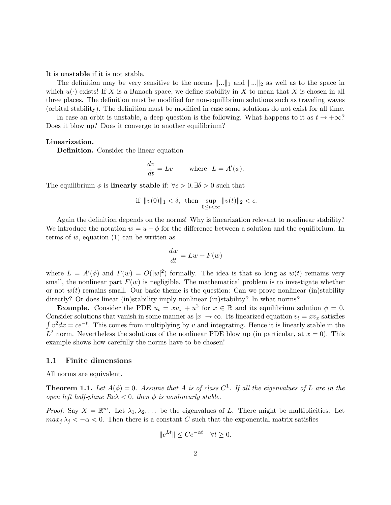It is unstable if it is not stable.

The definition may be very sensitive to the norms  $\|\ldots\|_1$  and  $\|\ldots\|_2$  as well as to the space in which  $u(\cdot)$  exists! If X is a Banach space, we define stability in X to mean that X is chosen in all three places. The definition must be modified for non-equilibrium solutions such as traveling waves (orbital stability). The definition must be modified in case some solutions do not exist for all time.

In case an orbit is unstable, a deep question is the following. What happens to it as  $t \to +\infty$ ? Does it blow up? Does it converge to another equilibrium?

#### Linearization.

Definition. Consider the linear equation

$$
\frac{dv}{dt} = Lv \qquad \text{where} \ \ L = A'(\phi).
$$

The equilibrium  $\phi$  is **linearly stable** if:  $\forall \epsilon > 0$ ,  $\exists \delta > 0$  such that

$$
\text{if } \|v(0)\|_1 < \delta, \text{ then } \sup_{0 \le t < \infty} \|v(t)\|_2 < \epsilon.
$$

Again the definition depends on the norms! Why is linearization relevant to nonlinear stability? We introduce the notation  $w = u - \phi$  for the difference between a solution and the equilibrium. In terms of  $w$ , equation (1) can be written as

$$
\frac{dw}{dt} = Lw + F(w)
$$

where  $L = A'(\phi)$  and  $F(w) = O(|w|^2)$  formally. The idea is that so long as  $w(t)$  remains very small, the nonlinear part  $F(w)$  is negligible. The mathematical problem is to investigate whether or not  $w(t)$  remains small. Our basic theme is the question: Can we prove nonlinear (in)stability directly? Or does linear (in)stability imply nonlinear (in)stability? In what norms?

**Example.** Consider the PDE  $u_t = xu_x + u^2$  for  $x \in \mathbb{R}$  and its equilibrium solution  $\phi = 0$ . Consider solutions that vanish in some manner as  $|x| \to \infty$ . Its linearized equation  $v_t = xv_x$  satisfies  $\int v^2 dx = ce^{-t}$ . This comes from multiplying by v and integrating. Hence it is linearly stable in the  $L^2$  norm. Nevertheless the solutions of the nonlinear PDE blow up (in particular, at  $x = 0$ ). This example shows how carefully the norms have to be chosen!

## 1.1 Finite dimensions

All norms are equivalent.

**Theorem 1.1.** Let  $A(\phi) = 0$ . Assume that A is of class  $C^1$ . If all the eigenvalues of L are in the open left half-plane  $Re\lambda < 0$ , then  $\phi$  is nonlinearly stable.

*Proof.* Say  $X = \mathbb{R}^m$ . Let  $\lambda_1, \lambda_2, \ldots$  be the eigenvalues of L. There might be multiplicities. Let  $max_j \lambda_j < -\alpha < 0$ . Then there is a constant C such that the exponential matrix satisfies

$$
||e^{Lt}|| \le Ce^{-\alpha t} \quad \forall t \ge 0.
$$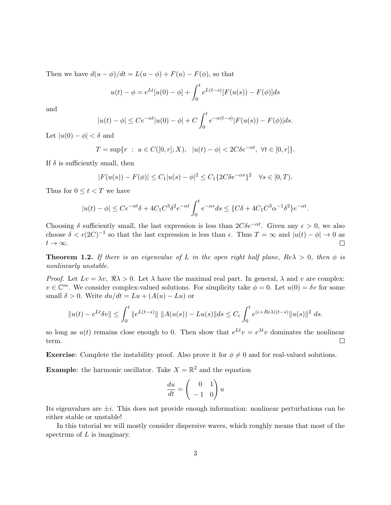Then we have  $d(u - \phi)/dt = L(u - \phi) + F(u) - F(\phi)$ , so that

$$
u(t) - \phi = e^{Lt}[u(0) - \phi] + \int_0^t e^{L(t-s)} [F(u(s)) - F(\phi)] ds
$$

and

$$
|u(t) - \phi| \le Ce^{-\alpha t} |u(0) - \phi| + C \int_0^t e^{-\alpha(t-s)} |F(u(s)) - F(\phi)| ds.
$$

Let  $|u(0) - \phi| < \delta$  and

$$
T = \sup\{r : u \in C([0, r]; X), |u(t) - \phi| < 2C\delta e^{-\alpha t}, \ \forall t \in [0, r]\}.
$$

If  $\delta$  is sufficiently small, then

$$
|F(u(s)) - F(\phi)| \le C_1 |u(s) - \phi|^2 \le C_1 \{ 2C\delta e^{-\alpha s} \}^2 \quad \forall s \in [0, T).
$$

Thus for  $0 \le t < T$  we have

$$
|u(t) - \phi| \le Ce^{-\alpha t} \delta + 4C_1 C^3 \delta^2 e^{-\alpha t} \int_0^t e^{-\alpha s} ds \le \{ C\delta + 4C_1 C^3 \alpha^{-1} \delta^2 \} e^{-\alpha t}.
$$

Choosing  $\delta$  sufficiently small, the last expression is less than  $2C\delta e^{-\alpha t}$ . Given any  $\epsilon > 0$ , we also choose  $\delta < \epsilon(2C)^{-1}$  so that the last expression is less than  $\epsilon$ . Thus  $T = \infty$  and  $|u(t) - \phi| \to 0$  as  $t\to\infty$ .  $\Box$ 

**Theorem 1.2.** If there is an eigenvalue of L in the open right half plane,  $Re\lambda > 0$ , then  $\phi$  is nonlinearly unstable.

*Proof.* Let  $Lv = \lambda v$ ,  $\Re \lambda > 0$ . Let  $\lambda$  have the maximal real part. In general,  $\lambda$  and v are complex:  $v \in \mathbb{C}^m$ . We consider complex-valued solutions. For simplicity take  $\phi = 0$ . Let  $u(0) = \delta v$  for some small  $\delta > 0$ . Write  $du/dt = Lu + (A(u) - Lu)$  or

$$
||u(t) - e^{Lt}\delta v|| \le \int_0^t ||e^{L(t-s)}|| \, ||A(u(s)) - Lu(s)|| ds \le C_\epsilon \int_0^t e^{(\epsilon + Re\lambda)(t-s)} ||u(s)||^2 \, ds.
$$

so long as  $u(t)$  remains close enough to 0. Then show that  $e^{Lt}v = e^{\lambda t}v$  dominates the nonlinear term.  $\Box$ 

**Exercise:** Complete the instability proof. Also prove it for  $\phi \neq 0$  and for real-valued solutions.

**Example:** the harmonic oscillator. Take  $X = \mathbb{R}^2$  and the equation

$$
\frac{du}{dt} = \begin{pmatrix} 0 & 1 \\ -1 & 0 \end{pmatrix} u
$$

Its eigenvalues are  $\pm i$ . This does not provide enough information: nonlinear perturbations can be either stable or unstable!

In this tutorial we will mostly consider dispersive waves, which roughly means that most of the spectrum of  $L$  is imaginary.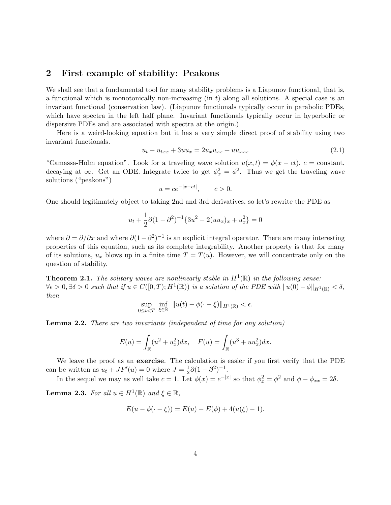## 2 First example of stability: Peakons

We shall see that a fundamental tool for many stability problems is a Liapunov functional, that is, a functional which is monotonically non-increasing  $(in t)$  along all solutions. A special case is an invariant functional (conservation law). (Liapunov functionals typically occur in parabolic PDEs, which have spectra in the left half plane. Invariant functionals typically occur in hyperbolic or dispersive PDEs and are associated with spectra at the origin.)

Here is a weird-looking equation but it has a very simple direct proof of stability using two invariant functionals.

$$
u_t - u_{txx} + 3uu_x = 2u_xu_{xx} + uu_{xxx}
$$
\n(2.1)

"Camassa-Holm equation". Look for a traveling wave solution  $u(x,t) = \phi(x-ct)$ ,  $c = constant$ , decaying at  $\infty$ . Get an ODE. Integrate twice to get  $\phi_x^2 = \phi^2$ . Thus we get the traveling wave solutions ("peakons")

$$
u = ce^{-|x - ct|}, \qquad c > 0.
$$

One should legitimately object to taking 2nd and 3rd derivatives, so let's rewrite the PDE as

$$
u_t + \frac{1}{2}\partial (1 - \partial^2)^{-1} \{3u^2 - 2(uu_x)_x + u_x^2\} = 0
$$

where  $\partial = \partial/\partial x$  and where  $\partial (1 - \partial^2)^{-1}$  is an explicit integral operator. There are many interesting properties of this equation, such as its complete integrability. Another property is that for many of its solutions,  $u_x$  blows up in a finite time  $T = T(u)$ . However, we will concentrate only on the question of stability.

**Theorem 2.1.** The solitary waves are nonlinearly stable in  $H^1(\mathbb{R})$  in the following sense:  $\forall \epsilon > 0, \exists \delta > 0$  such that if  $u \in C([0,T); H^1(\mathbb{R}))$  is a solution of the PDE with  $||u(0) - \phi||_{H^1(\mathbb{R})} < \delta$ , then

$$
\sup_{0\leq t
$$

Lemma 2.2. There are two invariants (independent of time for any solution)

$$
E(u) = \int_{\mathbb{R}} (u^2 + u_x^2) dx, \quad F(u) = \int_{\mathbb{R}} (u^3 + uu_x^2) dx.
$$

We leave the proof as an **exercise**. The calculation is easier if you first verify that the PDE can be written as  $u_t + JF'(u) = 0$  where  $J = \frac{1}{2}\partial (1 - \partial^2)^{-1}$ . 2

In the sequel we may as well take  $c = 1$ . Let  $\phi(x) = e^{-|x|}$  so that  $\phi_x^2 = \phi^2$  and  $\phi - \phi_{xx} = 2\delta$ .

**Lemma 2.3.** For all  $u \in H^1(\mathbb{R})$  and  $\xi \in \mathbb{R}$ ,

$$
E(u - \phi(\cdot - \xi)) = E(u) - E(\phi) + 4(u(\xi) - 1).
$$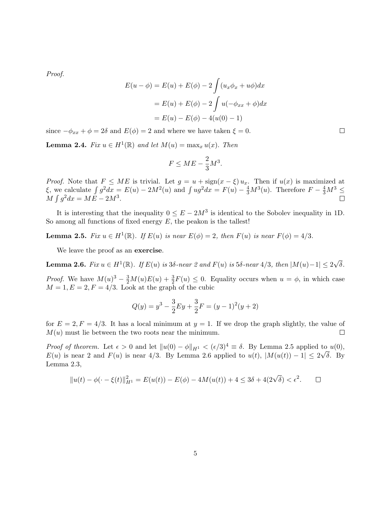Proof.

$$
E(u - \phi) = E(u) + E(\phi) - 2 \int (u_x \phi_x + u\phi) dx
$$
  
=  $E(u) + E(\phi) - 2 \int u(-\phi_{xx} + \phi) dx$   
=  $E(u) - E(\phi) - 4(u(0) - 1)$ 

since  $-\phi_{xx} + \phi = 2\delta$  and  $E(\phi) = 2$  and where we have taken  $\xi = 0$ .

**Lemma 2.4.** Fix  $u \in H^1(\mathbb{R})$  and let  $M(u) = \max_x u(x)$ . Then

$$
F \leq ME - \frac{2}{3}M^3.
$$

*Proof.* Note that  $F \leq ME$  is trivial. Let  $g = u + \text{sign}(x - \xi) u_x$ . Then if  $u(x)$  is maximized at ξ, we calculate  $\int g^2 dx = E(u) - 2M^2(u)$  and  $\int u g^2 dx = F(u) - \frac{4}{3}M^3(u)$ . Therefore  $F - \frac{4}{3}M^3 \leq$  $M \int g^2 dx = ME - 2M^3.$ 

It is interesting that the inequality  $0 \le E - 2M^3$  is identical to the Sobolev inequality in 1D. So among all functions of fixed energy  $E$ , the peakon is the tallest!

**Lemma 2.5.** Fix  $u \in H^1(\mathbb{R})$ . If  $E(u)$  is near  $E(\phi) = 2$ , then  $F(u)$  is near  $F(\phi) = 4/3$ .

We leave the proof as an **exercise**.

**Lemma 2.6.** Fix  $u \in H^1(\mathbb{R})$ . If  $E(u)$  is  $3\delta$ -near 2 and  $F(u)$  is  $5\delta$ -near  $4/3$ , then  $|M(u)-1| \leq 2\sqrt{2}$  $\delta.$ 

*Proof.* We have  $M(u)^3 - \frac{3}{2}M(u)E(u) + \frac{3}{2}F(u) \leq 0$ . Equality occurs when  $u = \phi$ , in which case  $M = 1, E = 2, F = 4/3$ . Look at the graph of the cubic

$$
Q(y) = y^3 - \frac{3}{2}Ey + \frac{3}{2}F = (y-1)^2(y+2)
$$

for  $E = 2, F = 4/3$ . It has a local minimum at  $y = 1$ . If we drop the graph slightly, the value of  $M(u)$  must lie between the two roots near the minimum.  $\Box$ 

Proof of theorem. Let  $\epsilon > 0$  and let  $||u(0) - \phi||_{H^1} < (\epsilon/3)^4 \equiv \delta$ . By Lemma 2.5 applied to  $u(0)$ ,  $E(u)$  is near 2 and  $F(u)$  is near 4/3. By Lemma 2.6 applied to  $u(t)$ ,  $|M(u(t)) - 1| \leq 2\sqrt{\delta}$ . By Lemma 2.3,

$$
||u(t) - \phi(\cdot - \xi(t)||_{H^1}^2 = E(u(t)) - E(\phi) - 4M(u(t)) + 4 \le 3\delta + 4(2\sqrt{\delta}) < \epsilon^2. \qquad \Box
$$

 $\Box$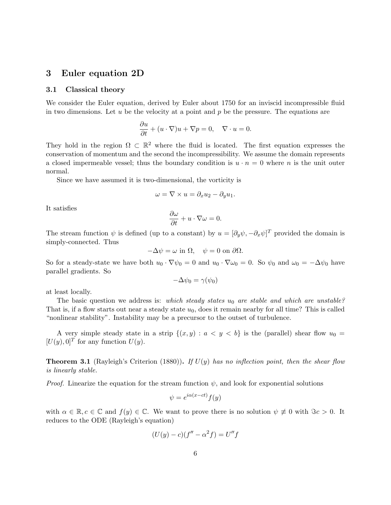## 3 Euler equation 2D

#### 3.1 Classical theory

We consider the Euler equation, derived by Euler about 1750 for an inviscid incompressible fluid in two dimensions. Let  $u$  be the velocity at a point and  $p$  be the pressure. The equations are

$$
\frac{\partial u}{\partial t} + (u \cdot \nabla)u + \nabla p = 0, \quad \nabla \cdot u = 0.
$$

They hold in the region  $\Omega \subset \mathbb{R}^2$  where the fluid is located. The first equation expresses the conservation of momentum and the second the incompressibility. We assume the domain represents a closed impermeable vessel; thus the boundary condition is  $u \cdot n = 0$  where n is the unit outer normal.

Since we have assumed it is two-dimensional, the vorticity is

$$
\omega = \nabla \times u = \partial_x u_2 - \partial_y u_1.
$$

It satisfies

$$
\frac{\partial \omega}{\partial t} + u \cdot \nabla \omega = 0.
$$

The stream function  $\psi$  is defined (up to a constant) by  $u = [\partial_y \psi, -\partial_x \psi]^T$  provided the domain is simply-connected. Thus

$$
-\Delta \psi = \omega \text{ in } \Omega, \quad \psi = 0 \text{ on } \partial \Omega.
$$

So for a steady-state we have both  $u_0 \cdot \nabla \psi_0 = 0$  and  $u_0 \cdot \nabla \omega_0 = 0$ . So  $\psi_0$  and  $\omega_0 = -\Delta \psi_0$  have parallel gradients. So

$$
-\Delta\psi_0=\gamma(\psi_0)
$$

at least locally.

The basic question we address is: which steady states  $u_0$  are stable and which are unstable? That is, if a flow starts out near a steady state  $u_0$ , does it remain nearby for all time? This is called "nonlinear stability". Instability may be a precursor to the outset of turbulence.

A very simple steady state in a strip  $\{(x, y) : a < y < b\}$  is the (parallel) shear flow  $u_0 =$  $[U(y), 0]^T$  for any function  $U(y)$ .

**Theorem 3.1** (Rayleigh's Criterion (1880)). If  $U(y)$  has no inflection point, then the shear flow is linearly stable.

*Proof.* Linearize the equation for the stream function  $\psi$ , and look for exponential solutions

$$
\psi = e^{i\alpha(x-ct)}f(y)
$$

with  $\alpha \in \mathbb{R}, c \in \mathbb{C}$  and  $f(y) \in \mathbb{C}$ . We want to prove there is no solution  $\psi \neq 0$  with  $\Im c > 0$ . It reduces to the ODE (Rayleigh's equation)

$$
(U(y) - c)(f'' - \alpha^2 f) = U''f
$$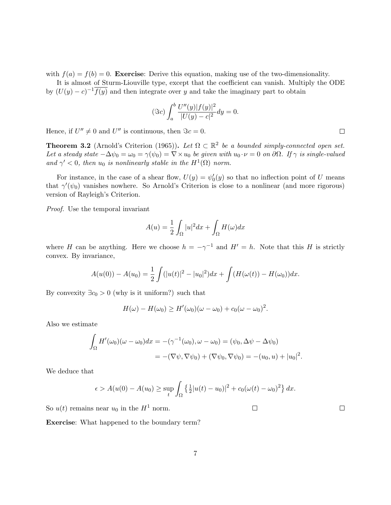with  $f(a) = f(b) = 0$ . Exercise: Derive this equation, making use of the two-dimensionality.

It is almost of Sturm-Liouville type, except that the coefficient can vanish. Multiply the ODE by  $(U(y) - c)^{-1} \overline{f(y)}$  and then integrate over y and take the imaginary part to obtain

$$
(\Im c) \int_a^b \frac{U''(y)|f(y)|^2}{|U(y) - c|^2} dy = 0.
$$

Hence, if  $U'' \neq 0$  and  $U''$  is continuous, then  $\Im c = 0$ .

**Theorem 3.2** (Arnold's Criterion (1965)). Let  $\Omega \subset \mathbb{R}^2$  be a bounded simply-connected open set. Let a steady state  $-\Delta\psi_0 = \omega_0 = \gamma(\psi_0) = \nabla \times u_0$  be given with  $u_0 \cdot \nu = 0$  on  $\partial\Omega$ . If  $\gamma$  is single-valued and  $\gamma' < 0$ , then  $u_0$  is nonlinearly stable in the  $H^1(\Omega)$  norm.

For instance, in the case of a shear flow,  $U(y) = \psi_0'(y)$  so that no inflection point of U means that  $\gamma'(\psi_0)$  vanishes nowhere. So Arnold's Criterion is close to a nonlinear (and more rigorous) version of Rayleigh's Criterion.

Proof. Use the temporal invariant

$$
A(u) = \frac{1}{2} \int_{\Omega} |u|^2 dx + \int_{\Omega} H(\omega) dx
$$

where H can be anything. Here we choose  $h = -\gamma^{-1}$  and  $H' = h$ . Note that this H is strictly convex. By invariance,

$$
A(u(0)) - A(u_0) = \frac{1}{2} \int (|u(t)|^2 - |u_0|^2) dx + \int (H(\omega(t)) - H(\omega_0)) dx.
$$

By convexity  $\exists c_0 > 0$  (why is it uniform?) such that

$$
H(\omega) - H(\omega_0) \ge H'(\omega_0)(\omega - \omega_0) + c_0(\omega - \omega_0)^2.
$$

Also we estimate

$$
\int_{\Omega} H'(\omega_0)(\omega - \omega_0) dx = -(\gamma^{-1}(\omega_0), \omega - \omega_0) = (\psi_0, \Delta \psi - \Delta \psi_0)
$$
  
= -(\nabla \psi, \nabla \psi\_0) + (\nabla \psi\_0, \nabla \psi\_0) = -(\omega\_0, u) + |u\_0|^2.

We deduce that

$$
\epsilon > A(u(0) - A(u_0) \ge \sup_t \int_{\Omega} \left\{ \frac{1}{2} |u(t) - u_0| \right\}^2 + c_0 (\omega(t) - \omega_0)^2 \, dx.
$$

 $\Box$ 

So  $u(t)$  remains near  $u_0$  in the  $H<sup>1</sup>$  norm.

Exercise: What happened to the boundary term?

 $\Box$ 

 $\Box$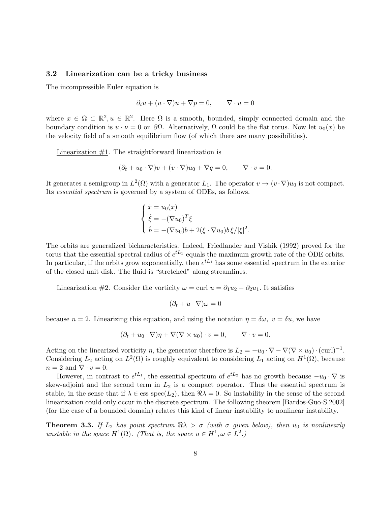### 3.2 Linearization can be a tricky business

The incompressible Euler equation is

$$
\partial_t u + (u \cdot \nabla)u + \nabla p = 0, \qquad \nabla \cdot u = 0
$$

where  $x \in \Omega \subset \mathbb{R}^2, u \in \mathbb{R}^2$ . Here  $\Omega$  is a smooth, bounded, simply connected domain and the boundary condition is  $u \cdot \nu = 0$  on  $\partial \Omega$ . Alternatively,  $\Omega$  could be the flat torus. Now let  $u_0(x)$  be the velocity field of a smooth equilibrium flow (of which there are many possibilities).

Linearization  $#1$ . The straightforward linearization is

$$
(\partial_t + u_0 \cdot \nabla)v + (v \cdot \nabla)u_0 + \nabla q = 0, \qquad \nabla \cdot v = 0.
$$

It generates a semigroup in  $L^2(\Omega)$  with a generator  $L_1$ . The operator  $v \to (v \cdot \nabla)u_0$  is not compact. Its essential spectrum is governed by a system of ODEs, as follows.

$$
\begin{cases}\n\dot{x} = u_0(x) \\
\dot{\xi} = -(\nabla u_0)^T \xi \\
\dot{b} = -(\nabla u_0)b + 2(\xi \cdot \nabla u_0)b \xi / |\xi|^2.\n\end{cases}
$$

The orbits are generalized bicharacteristics. Indeed, Friedlander and Vishik (1992) proved for the torus that the essential spectral radius of  $e^{tL_1}$  equals the maximum growth rate of the ODE orbits. In particular, if the orbits grow exponentially, then  $e^{tL_1}$  has some essential spectrum in the exterior of the closed unit disk. The fluid is "stretched" along streamlines.

Linearization #2. Consider the vorticity  $\omega = \text{curl } u = \partial_1 u_2 - \partial_2 u_1$ . It satisfies

$$
(\partial_t + u \cdot \nabla)\omega = 0
$$

because  $n = 2$ . Linearizing this equation, and using the notation  $\eta = \delta \omega$ ,  $v = \delta u$ , we have

$$
(\partial_t + u_0 \cdot \nabla)\eta + \nabla(\nabla \times u_0) \cdot v = 0, \qquad \nabla \cdot v = 0
$$

Acting on the linearized vorticity  $\eta$ , the generator therefore is  $L_2 = -u_0 \cdot \nabla - \nabla (\nabla \times u_0) \cdot (\text{curl})^{-1}$ . Considering  $L_2$  acting on  $L^2(\Omega)$  is roughly equivalent to considering  $L_1$  acting on  $H^1(\Omega)$ , because  $n = 2$  and  $\nabla \cdot v = 0$ .

However, in contrast to  $e^{tL_1}$ , the essential spectrum of  $e^{tL_2}$  has no growth because  $-u_0 \cdot \nabla$  is skew-adjoint and the second term in  $L_2$  is a compact operator. Thus the essential spectrum is stable, in the sense that if  $\lambda \in \text{ess } spec(L_2)$ , then  $\Re \lambda = 0$ . So instability in the sense of the second linearization could only occur in the discrete spectrum. The following theorem [Bardos-Guo-S 2002] (for the case of a bounded domain) relates this kind of linear instability to nonlinear instability.

**Theorem 3.3.** If  $L_2$  has point spectrum  $\Re\lambda > \sigma$  (with  $\sigma$  given below), then  $u_0$  is nonlinearly unstable in the space  $H^1(\Omega)$ . (That is, the space  $u \in H^1, \omega \in L^2$ .)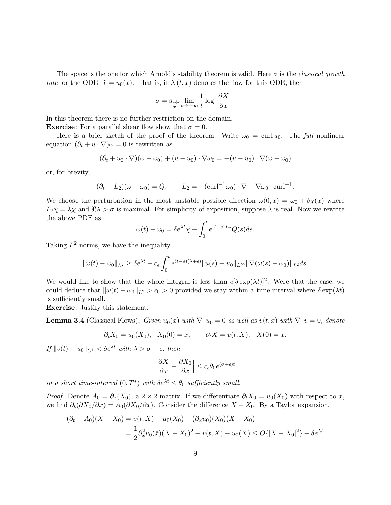The space is the one for which Arnold's stability theorem is valid. Here  $\sigma$  is the classical growth rate for the ODE  $\dot{x} = u_0(x)$ . That is, if  $X(t, x)$  denotes the flow for this ODE, then

$$
\sigma = \sup_{x} \lim_{t \to +\infty} \frac{1}{t} \log \left| \frac{\partial X}{\partial x} \right|.
$$

In this theorem there is no further restriction on the domain.

**Exercise:** For a parallel shear flow show that  $\sigma = 0$ .

Here is a brief sketch of the proof of the theorem. Write  $\omega_0 = \text{curl } u_0$ . The full nonlinear equation  $(\partial_t + u \cdot \nabla)\omega = 0$  is rewritten as

$$
(\partial_t + u_0 \cdot \nabla)(\omega - \omega_0) + (u - u_0) \cdot \nabla \omega_0 = -(u - u_0) \cdot \nabla(\omega - \omega_0)
$$

or, for brevity,

$$
(\partial_t - L_2)(\omega - \omega_0) = Q, \qquad L_2 = -(\text{curl}^{-1}\omega_0) \cdot \nabla - \nabla \omega_0 \cdot \text{curl}^{-1}.
$$

We choose the perturbation in the most unstable possible direction  $\omega(0, x) = \omega_0 + \delta \chi(x)$  where  $L_2\chi = \lambda\chi$  and  $\Re\lambda > \sigma$  is maximal. For simplicity of exposition, suppose  $\lambda$  is real. Now we rewrite the above PDE as

$$
\omega(t) - \omega_0 = \delta e^{\lambda t} \chi + \int_0^t e^{(t-s)L_2} Q(s) ds.
$$

Taking  $L^2$  norms, we have the inequality

$$
\|\omega(t)-\omega_0\|_{L^2}\geq \delta e^{\lambda t}-c_{\epsilon}\int_0^t e^{(t-s)(\lambda+\epsilon)}\|u(s)-u_0\|_{L^\infty}\|\nabla(\omega(s)-\omega_0)\|_{L^2}ds.
$$

We would like to show that the whole integral is less than  $c[\delta \exp(\lambda t)]^2$ . Were that the case, we could deduce that  $\|\omega(t) - \omega_0\|_{L^2} > \epsilon_0 > 0$  provided we stay within a time interval where  $\delta \exp(\lambda t)$ is sufficiently small.

Exercise: Justify this statement.

**Lemma 3.4** (Classical Flows). Given  $u_0(x)$  with  $\nabla \cdot u_0 = 0$  as well as  $v(t, x)$  with  $\nabla \cdot v = 0$ , denote

$$
\partial_t X_0 = u_0(X_0), \quad X_0(0) = x, \qquad \partial_t X = v(t, X), \quad X(0) = x.
$$

If  $||v(t) - u_0||_{C^1} < \delta e^{\lambda t}$  with  $\lambda > \sigma + \epsilon$ , then

$$
\left|\frac{\partial X}{\partial x} - \frac{\partial X_0}{\partial x}\right| \le c_\epsilon \theta_0 e^{(\sigma + \epsilon)t}
$$

in a short time-interval  $(0,T^*)$  with  $\delta e^{\lambda t} \leq \theta_0$  sufficiently small.

*Proof.* Denote  $A_0 = \partial_x(X_0)$ , a 2 × 2 matrix. If we differentiate  $\partial_t X_0 = u_0(X_0)$  with respect to x, we find  $\partial_t(\partial X_0/\partial x) = A_0(\partial X_0/\partial x)$ . Consider the difference  $X - X_0$ . By a Taylor expansion,

$$
(\partial_t - A_0)(X - X_0) = v(t, X) - u_0(X_0) - (\partial_x u_0)(X_0)(X - X_0)
$$
  
= 
$$
\frac{1}{2}\partial_x^2 u_0(\bar{x})(X - X_0)^2 + v(t, X) - u_0(X) \le O\{|X - X_0|^2\} + \delta e^{\lambda t}.
$$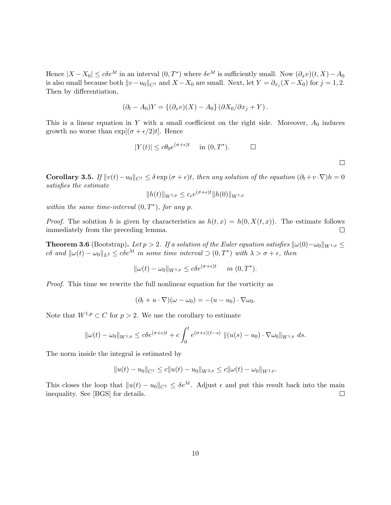Hence  $|X - X_0| \le c\delta e^{\lambda t}$  in an interval  $(0, T^*)$  where  $\delta e^{\lambda t}$  is sufficiently small. Now  $(\partial_x v)(t, X) - A_0$ is also small because both  $||v-u_0||_{C^1}$  and  $X-X_0$  are small. Next, let  $Y = \partial_{x_j}(X-X_0)$  for  $j = 1, 2$ . Then by differentiation,

$$
(\partial_t - A_0)Y = \{ (\partial_x v)(X) - A_0 \} (\partial X_0 / \partial x_j + Y).
$$

This is a linear equation in Y with a small coefficient on the right side. Moreover,  $A_0$  induces growth no worse than  $\exp[(\sigma + \epsilon/2)t]$ . Hence

$$
|Y(t)| \le c\theta_0 e^{(\sigma + \epsilon)t} \quad \text{in } (0, T^*).
$$

Corollary 3.5. If  $||v(t)-u_0||_{C^1} \leq \delta \exp{(\sigma+\epsilon)t}$ , then any solution of the equation  $(\partial_t+v\cdot\nabla)h=0$ satisfies the estimate

$$
||h(t)||_{W^{1,p}} \le c_{\epsilon} e^{(\sigma+\epsilon)t} ||h(0)||_{W^{1,p}}
$$

within the same time-interval  $(0, T^*)$ , for any p.

*Proof.* The solution h is given by characteristics as  $h(t, x) = h(0, X(t, x))$ . The estimate follows immediately from the preceding lemma.  $\Box$ 

**Theorem 3.6** (Bootstrap). Let  $p > 2$ . If a solution of the Euler equation satisfies  $\|\omega(0) - \omega_0\|_{W^{1,p}} \le$ cδ and  $\|\omega(t) - \omega_0\|_{L^2} \leq c\delta e^{\lambda t}$  in some time interval  $\supset (0,T^*)$  with  $\lambda > \sigma + \epsilon$ , then

$$
\|\omega(t) - \omega_0\|_{W^{1,p}} \le c\delta e^{(\sigma + \epsilon)t} \quad in \ (0,T^*).
$$

Proof. This time we rewrite the full nonlinear equation for the vorticity as

$$
(\partial_t + u \cdot \nabla)(\omega - \omega_0) = -(u - u_0) \cdot \nabla \omega_0.
$$

Note that  $W^{1,p} \subset C$  for  $p > 2$ . We use the corollary to estimate

$$
\|\omega(t)-\omega_0\|_{W^{1,p}} \leq c\delta e^{(\sigma+\epsilon)t} + c\int_0^t e^{(\sigma+\epsilon)(t-s)} \|(u(s)-u_0)\cdot\nabla\omega_0\|_{W^{1,p}} ds.
$$

The norm inside the integral is estimated by

$$
||u(t) - u_0||_{C^1} \le c||u(t) - u_0||_{W^{2,p}} \le c||\omega(t) - \omega_0||_{W^{1,p}}.
$$

This closes the loop that  $||u(t) - u_0||_{C^1} \le \delta e^{\lambda t}$ . Adjust  $\epsilon$  and put this result back into the main inequality. See [BGS] for details.  $\Box$ 

 $\Box$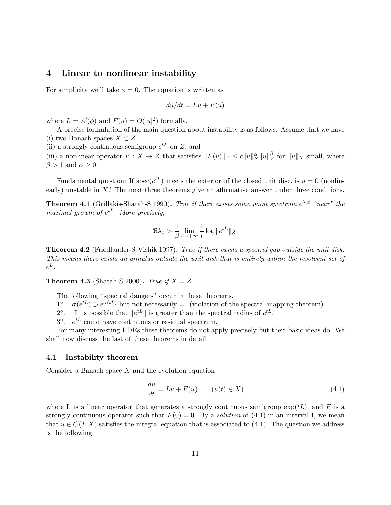## 4 Linear to nonlinear instability

For simplicity we'll take  $\phi = 0$ . The equation is written as

$$
du/dt = Lu + F(u)
$$

where  $L = A'(\phi)$  and  $F(u) = O(|u|^2)$  formally.

A precise formulation of the main question about instability is as follows. Assume that we have (i) two Banach spaces  $X \subset Z$ ,

(ii) a strongly continuous semigroup  $e^{tL}$  on Z, and

(iii) a nonlinear operator  $F: X \to Z$  that satisfies  $||F(u)||_Z \le c||u||_X^{\alpha}||u||_Z^{\beta}$  $Z$  for  $||u||_X$  small, where  $\beta > 1$  and  $\alpha \geq 0$ .

Fundamental question: If spec $(e^{tL})$  meets the exterior of the closed unit disc, is  $u = 0$  (nonlinearly) unstable in  $X$ ? The next three theorems give an affirmative answer under three conditions.

**Theorem 4.1** (Grillakis-Shatah-S 1990). True if there exists some point spectrum  $e^{\lambda_0 t}$  "near" the maximal growth of  $e^{tL}$ . More precisely,

$$
\Re \lambda_0 > \frac{1}{\beta} \lim_{t \to +\infty} \frac{1}{t} \log \| e^{tL} \|_Z.
$$

Theorem 4.2 (Friedlander-S-Vishik 1997). True if there exists a spectral gap outside the unit disk. This means there exists an annulus outside the unit disk that is entirely within the resolvent set of  $e^L$ .

**Theorem 4.3** (Shatah-S 2000). True if  $X = Z$ .

The following "spectral dangers" occur in these theorems.

1°.  $\sigma(e^{tL}) \supset e^{\sigma(tL)}$  but not necessarily =. (violation of the spectral mapping theorem)

2°. It is possible that  $||e^{tL}||$  is greater than the spectral radius of  $e^{tL}$ .

 $3^{\circ}$ .  $e^{tL}$  could have continuous or residual spectrum.

For many interesting PDEs these theorems do not apply precisely but their basic ideas do. We shall now discuss the last of these theorems in detail.

## 4.1 Instability theorem

Consider a Banach space  $X$  and the evolution equation

$$
\frac{du}{dt} = Lu + F(u) \qquad (u(t) \in X)
$$
\n(4.1)

where L is a linear operator that generates a strongly continuous semigroup  $\exp(tL)$ , and F is a strongly continuous operator such that  $F(0) = 0$ . By a *solution* of (4.1) in an interval I, we mean that  $u \in C(I; X)$  satisfies the integral equation that is associated to (4.1). The question we address is the following.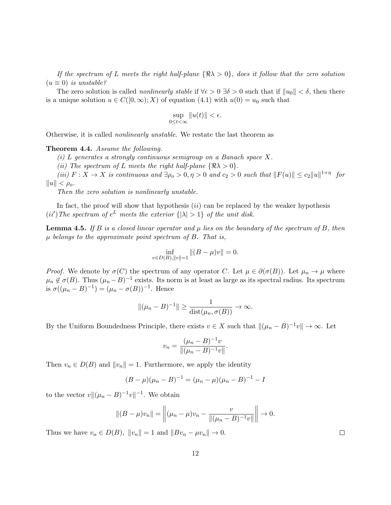If the spectrum of L meets the right half-plane  $\{\Re \lambda > 0\}$ , does it follow that the zero solution  $(u \equiv 0)$  is unstable?

The zero solution is called *nonlinearly stable* if  $\forall \epsilon > 0 \ \exists \delta > 0$  such that if  $||u_0|| < \delta$ , then there is a unique solution  $u \in C([0,\infty);X)$  of equation  $(4.1)$  with  $u(0) = u_0$  such that

$$
\sup_{0\leq t<\infty}||u(t)||<\epsilon.
$$

Otherwise, it is called nonlinearly unstable. We restate the last theorem as

Theorem 4.4. Assume the following.

 $(i)$  L generates a strongly continuous semigroup on a Banach space X.

(ii) The spectrum of L meets the right half-plane  $\{\Re\lambda > 0\}$ .

(iii)  $F: X \to X$  is continuous and  $\exists \rho_o > 0, \eta > 0$  and  $c_2 > 0$  such that  $||F(u)|| \le c_2 ||u||^{1+\eta}$  for  $||u|| < \rho_o$ .

Then the zero solution is nonlinearly unstable.

In fact, the proof will show that hypothesis  $(ii)$  can be replaced by the weaker hypothesis (ii') The spectrum of  $e^L$  meets the exterior  $\{|\lambda| > 1\}$  of the unit disk.

**Lemma 4.5.** If B is a closed linear operator and  $\mu$  lies on the boundary of the spectrum of B, then  $\mu$  belongs to the approximate point spectrum of B. That is,

$$
\inf_{v \in D(B), ||v|| = 1} ||(B - \mu)v|| = 0.
$$

*Proof.* We denote by  $\sigma(C)$  the spectrum of any operator C. Let  $\mu \in \partial(\sigma(B))$ . Let  $\mu_n \to \mu$  where  $\mu_n \notin \sigma(B)$ . Thus  $(\mu_n - B)^{-1}$  exists. Its norm is at least as large as its spectral radius. Its spectrum is  $\sigma((\mu_n - B)^{-1}) = (\mu_n - \sigma(B))^{-1}$ . Hence

$$
\|(\mu_n - B)^{-1}\| \ge \frac{1}{\text{dist}(\mu_n, \sigma(B))} \to \infty.
$$

By the Uniform Boundedness Principle, there exists  $v \in X$  such that  $\|(\mu_n - B)^{-1}v\| \to \infty$ . Let

$$
v_n = \frac{(\mu_n - B)^{-1}v}{\|(\mu_n - B)^{-1}v\|}.
$$

Then  $v_n \in D(B)$  and  $||v_n|| = 1$ . Furthermore, we apply the identity

$$
(B - \mu)(\mu_n - B)^{-1} = (\mu_n - \mu)(\mu_n - B)^{-1} - I
$$

to the vector  $v \| (\mu_n - B)^{-1} v \|^{-1}$ . We obtain

$$
||(B - \mu)v_n|| = \left\| (\mu_n - \mu)v_n - \frac{v}{\|(\mu_n - B)^{-1}v\|} \right\| \to 0.
$$

Thus we have  $v_n \in D(B)$ ,  $||v_n|| = 1$  and  $||Bv_n - \mu v_n|| \to 0$ .

12

 $\Box$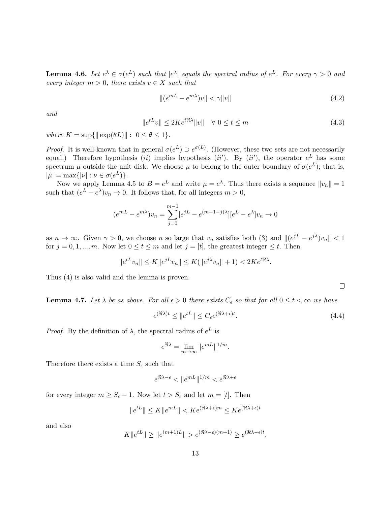**Lemma 4.6.** Let  $e^{\lambda} \in \sigma(e^L)$  such that  $|e^{\lambda}|$  equals the spectral radius of  $e^L$ . For every  $\gamma > 0$  and every integer  $m > 0$ , there exists  $v \in X$  such that

$$
\|(e^{mL} - e^{m\lambda})v\| < \gamma\|v\|\tag{4.2}
$$

and

$$
||e^{tL}v|| \le 2Ke^{t\Re\lambda}||v|| \quad \forall \ 0 \le t \le m \tag{4.3}
$$

where  $K = \sup\{\|\exp(\theta L)\| : 0 \le \theta \le 1\}.$ 

*Proof.* It is well-known that in general  $\sigma(e^L) \supset e^{\sigma(L)}$ . (However, these two sets are not necessarily equal.) Therefore hypothesis (*ii*) implies hypothesis (*ii'*). By (*ii'*), the operator  $e^L$  has some spectrum  $\mu$  outside the unit disk. We choose  $\mu$  to belong to the outer boundary of  $\sigma(e^L)$ ; that is,  $|\mu| = \max\{|\nu| : \nu \in \sigma(e^L)\}.$ 

Now we apply Lemma 4.5 to  $B = e^L$  and write  $\mu = e^{\lambda}$ . Thus there exists a sequence  $||v_n|| = 1$ such that  $(e^L - e^{\lambda})v_n \to 0$ . It follows that, for all integers  $m > 0$ ,

$$
(e^{mL} - e^{m\lambda})v_n = \sum_{j=0}^{m-1} [e^{jL} - e^{(m-1-j)\lambda}] [e^L - e^{\lambda}]v_n \to 0
$$

as  $n \to \infty$ . Given  $\gamma > 0$ , we choose n so large that  $v_n$  satisfies both (3) and  $\| (e^{jL} - e^{j\lambda})v_n \| < 1$ for  $j = 0, 1, ..., m$ . Now let  $0 \le t \le m$  and let  $j = [t]$ , the greatest integer  $\le t$ . Then

$$
||e^{tL}v_n|| \le K||e^{jL}v_n|| \le K(||e^{j\lambda}v_n|| + 1) < 2Ke^{t\Re\lambda}.
$$

Thus (4) is also valid and the lemma is proven.

**Lemma 4.7.** Let  $\lambda$  be as above. For all  $\epsilon > 0$  there exists  $C_{\epsilon}$  so that for all  $0 \leq t < \infty$  we have

$$
e^{(\Re \lambda)t} \le ||e^{tL}|| \le C_{\epsilon} e^{(\Re \lambda + \epsilon)t}.\tag{4.4}
$$

 $\Box$ 

*Proof.* By the definition of  $\lambda$ , the spectral radius of  $e^L$  is

$$
e^{\Re\lambda} = \lim_{m \to \infty} \|e^{mL}\|^{1/m}.
$$

Therefore there exists a time  $S_{\epsilon}$  such that

$$
e^{\Re \lambda - \epsilon} < \| e^{mL} \|^{1/m} < e^{\Re \lambda + \epsilon}
$$

for every integer  $m \geq S_{\epsilon} - 1$ . Now let  $t > S_{\epsilon}$  and let  $m = [t]$ . Then

$$
||e^{tL}|| \le K||e^{mL}|| < Ke^{(\Re\lambda + \epsilon)m} \le Ke^{(\Re\lambda + \epsilon)t}
$$

and also

$$
K||e^{tL}|| \ge ||e^{(m+1)L}|| > e^{(\Re\lambda - \epsilon)(m+1)} \ge e^{(\Re\lambda - \epsilon)t}.
$$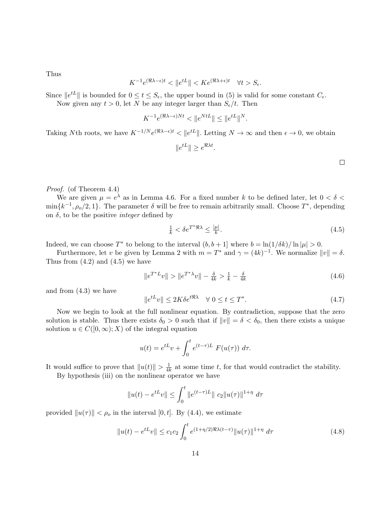Thus

$$
K^{-1}e^{(\Re\lambda-\epsilon)t} < \|e^{tL}\| < Ke^{(\Re\lambda+\epsilon)t} \quad \forall t > S_{\epsilon}.
$$

Since  $||e^{tL}||$  is bounded for  $0 \le t \le S_{\epsilon}$ , the upper bound in (5) is valid for some constant  $C_{\epsilon}$ . Now given any  $t > 0$ , let N be any integer larger than  $S_{\epsilon}/t$ . Then

$$
K^{-1}e^{(\Re\lambda-\epsilon)Nt}<\|e^{NtL}\|\leq\|e^{tL}\|^N.
$$

Taking Nth roots, we have  $K^{-1/N}e^{(\Re \lambda - \epsilon)t} < ||e^{tL}||$ . Letting  $N \to \infty$  and then  $\epsilon \to 0$ , we obtain

$$
||e^{tL}|| \ge e^{\Re \lambda t}.
$$

Proof. (of Theorem 4.4)

We are given  $\mu = e^{\lambda}$  as in Lemma 4.6. For a fixed number k to be defined later, let  $0 < \delta <$  $\min\{k^{-1}, \rho_o/2, 1\}$ . The parameter  $\delta$  will be free to remain arbitrarily small. Choose  $T^*$ , depending on  $\delta$ , to be the positive *integer* defined by

$$
\frac{1}{k} < \delta e^{T^* \Re \lambda} \le \frac{|\mu|}{k}.\tag{4.5}
$$

Indeed, we can choose  $T^*$  to belong to the interval  $(b, b + 1]$  where  $b = \ln(1/\delta k)/\ln |\mu| > 0$ .

Furthermore, let v be given by Lemma 2 with  $m = T^*$  and  $\gamma = (4k)^{-1}$ . We normalize  $||v|| = \delta$ . Thus from  $(4.2)$  and  $(4.5)$  we have

$$
||e^{T^*L}v|| > ||e^{T^*\lambda}v|| - \frac{\delta}{4k} > \frac{1}{k} - \frac{\delta}{4k}
$$
\n(4.6)

and from (4.3) we have

$$
||e^{tL}v|| \le 2K\delta e^{t\Re\lambda} \quad \forall \ 0 \le t \le T^*.
$$
\n
$$
(4.7)
$$

Now we begin to look at the full nonlinear equation. By contradiction, suppose that the zero solution is stable. Thus there exists  $\delta_0 > 0$  such that if  $||v|| = \delta < \delta_0$ , then there exists a unique solution  $u \in C([0,\infty);X)$  of the integral equation

$$
u(t) = e^{tL}v + \int_0^t e^{(t-\tau)L} F(u(\tau)) d\tau.
$$

It would suffice to prove that  $||u(t)|| > \frac{1}{4k}$  $\frac{1}{4k}$  at some time t, for that would contradict the stability.

By hypothesis (iii) on the nonlinear operator we have

$$
||u(t) - e^{tL}v|| \le \int_0^t ||e^{(t-\tau)L}|| c_2 ||u(\tau)||^{1+\eta} d\tau
$$

provided  $||u(\tau)|| < \rho_o$  in the interval [0, t]. By (4.4), we estimate

$$
||u(t) - e^{tL}v|| \le c_1 c_2 \int_0^t e^{(1+\eta/2)\Re\lambda(t-\tau)} ||u(\tau)||^{1+\eta} d\tau
$$
\n(4.8)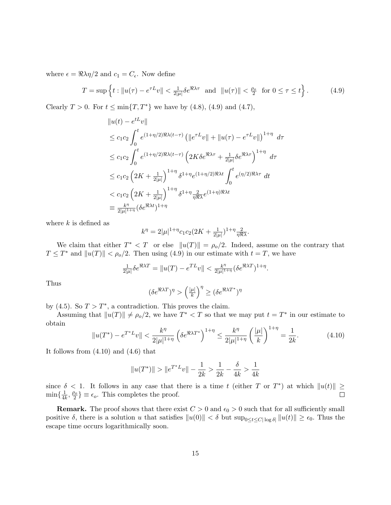where  $\epsilon = \Re \lambda \eta/2$  and  $c_1 = C_{\epsilon}$ . Now define

$$
T = \sup\left\{t : \|u(\tau) - e^{\tau L}v\| < \frac{1}{2|\mu|} \delta e^{\Re\lambda \tau} \text{ and } \|u(\tau)\| < \frac{\rho_o}{2} \text{ for } 0 \le \tau \le t \right\}. \tag{4.9}
$$

Clearly  $T > 0$ . For  $t \le \min\{T, T^*\}$  we have by (4.8), (4.9) and (4.7),

$$
||u(t) - e^{tL}v||
$$
  
\n
$$
\leq c_1c_2 \int_0^t e^{(1+\eta/2)\Re\lambda(t-\tau)} \left( ||e^{\tau L}v|| + ||u(\tau) - e^{\tau L}v|| \right)^{1+\eta} d\tau
$$
  
\n
$$
\leq c_1c_2 \int_0^t e^{(1+\eta/2)\Re\lambda(t-\tau)} \left( 2K\delta e^{\Re\lambda\tau} + \frac{1}{2|\mu|} \delta e^{\Re\lambda\tau} \right)^{1+\eta} d\tau
$$
  
\n
$$
\leq c_1c_2 \left( 2K + \frac{1}{2|\mu|} \right)^{1+\eta} \delta^{1+\eta} e^{(1+\eta/2)\Re\lambda t} \int_0^t e^{(\eta/2)\Re\lambda\tau} dt
$$
  
\n
$$
< c_1c_2 \left( 2K + \frac{1}{2|\mu|} \right)^{1+\eta} \delta^{1+\eta} \frac{2}{\eta \Re\lambda} e^{(1+\eta)\Re\lambda t}
$$
  
\n
$$
\equiv \frac{k^{\eta}}{2|\mu|^{1+\eta}} (\delta e^{\Re\lambda t})^{1+\eta}
$$

where  $k$  is defined as

$$
k^{\eta} = 2|\mu|^{1+\eta} c_1 c_2 (2K + \frac{1}{2|\mu|})^{1+\eta} \frac{2}{\eta \Re \lambda}.
$$

We claim that either  $T^* < T$  or else  $||u(T)|| = \rho_o/2$ . Indeed, assume on the contrary that  $T \leq T^*$  and  $||u(T)|| < \rho_o/2$ . Then using (4.9) in our estimate with  $t = T$ , we have

$$
\frac{1}{2|\mu|}\delta e^{\Re\lambda T} = ||u(T) - e^{TL}v|| < \frac{k^{\eta}}{2|\mu|^{1+\eta}}(\delta e^{\Re\lambda T})^{1+\eta}.
$$

Thus

$$
(\delta e^{\Re\lambda T})^{\eta} > \left(\frac{|\mu|}{k}\right)^{\eta} \ge (\delta e^{\Re\lambda T^*})^{\eta}
$$

by (4.5). So  $T > T^*$ , a contradiction. This proves the claim.

Assuming that  $||u(T)|| \neq \rho_o/2$ , we have  $T^* < T$  so that we may put  $t = T^*$  in our estimate to obtain

$$
\|u(T^*) - e^{T^*L}v\| < \frac{k^{\eta}}{2|\mu|^{1+\eta}} \left(\delta e^{\Re\lambda T^*}\right)^{1+\eta} \le \frac{k^{\eta}}{2|\mu|^{1+\eta}} \left(\frac{|\mu|}{k}\right)^{1+\eta} = \frac{1}{2k}.\tag{4.10}
$$

It follows from (4.10) and (4.6) that

$$
\|u(T^*)\| > \|e^{T^*L}v\| - \frac{1}{2k} > \frac{1}{2k} - \frac{\delta}{4k} > \frac{1}{4k}
$$

since  $\delta$  < 1. It follows in any case that there is a time t (either T or T<sup>\*</sup>) at which  $||u(t)|| \ge$  $\frac{1}{4k}, \frac{\rho_o}{2}$  $\min\{\frac{1}{4l}$  $\left\{\frac{\partial o}{2}\right\} \equiv \epsilon_o$ . This completes the proof.  $\Box$ 

**Remark.** The proof shows that there exist  $C > 0$  and  $\epsilon_0 > 0$  such that for all sufficiently small positive  $\delta$ , there is a solution u that satisfies  $||u(0)|| < \delta$  but  $\sup_{0 \le t \le C |\log \delta|} ||u(t)|| \ge \epsilon_0$ . Thus the escape time occurs logarithmically soon.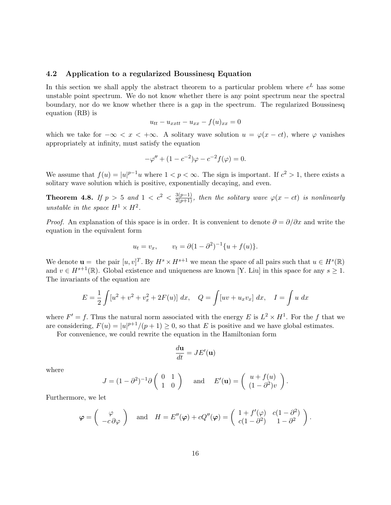## 4.2 Application to a regularized Boussinesq Equation

In this section we shall apply the abstract theorem to a particular problem where  $e^L$  has some unstable point spectrum. We do not know whether there is any point spectrum near the spectral boundary, nor do we know whether there is a gap in the spectrum. The regularized Boussinesq equation (RB) is

$$
u_{tt} - u_{xxtt} - u_{xx} - f(u)_{xx} = 0
$$

which we take for  $-\infty < x < +\infty$ . A solitary wave solution  $u = \varphi(x - ct)$ , where  $\varphi$  vanishes appropriately at infinity, must satisfy the equation

$$
-\varphi'' + (1 - c^{-2})\varphi - c^{-2}f(\varphi) = 0.
$$

We assume that  $f(u) = |u|^{p-1}u$  where  $1 < p < \infty$ . The sign is important. If  $c^2 > 1$ , there exists a solitary wave solution which is positive, exponentially decaying, and even.

**Theorem 4.8.** If  $p > 5$  and  $1 < c^2 < \frac{3(p-1)}{2(p+1)}$ , then the solitary wave  $\varphi(x-ct)$  is nonlinearly unstable in the space  $H^1 \times H^2$ .

*Proof.* An explanation of this space is in order. It is convenient to denote  $\partial = \partial/\partial x$  and write the equation in the equivalent form

$$
u_t = v_x
$$
,  $v_t = \partial (1 - \partial^2)^{-1} \{u + f(u)\}.$ 

We denote  $\mathbf{u} = \text{ the pair } [u, v]^T$ . By  $H^s \times H^{s+1}$  we mean the space of all pairs such that  $u \in H^s(\mathbb{R})$ and  $v \in H^{s+1}(\mathbb{R})$ . Global existence and uniqueness are known [Y. Liu] in this space for any  $s \geq 1$ . The invariants of the equation are

$$
E = \frac{1}{2} \int [u^2 + v^2 + v_x^2 + 2F(u)] dx, \quad Q = \int [uv + u_x v_x] dx, \quad I = \int u dx
$$

where  $F' = f$ . Thus the natural norm associated with the energy E is  $L^2 \times H^1$ . For the f that we are considering,  $F(u) = |u|^{p+1}/(p+1) \ge 0$ , so that E is positive and we have global estimates.

For convenience, we could rewrite the equation in the Hamiltonian form

$$
\frac{d\mathbf{u}}{dt} = JE'(\mathbf{u})
$$

where

$$
J = (1 - \partial^2)^{-1} \partial \begin{pmatrix} 0 & 1 \\ 1 & 0 \end{pmatrix} \quad \text{and} \quad E'(\mathbf{u}) = \begin{pmatrix} u + f(u) \\ (1 - \partial^2)v \end{pmatrix}.
$$

Furthermore, we let

$$
\varphi = \begin{pmatrix} \varphi \\ -c \partial \varphi \end{pmatrix} \text{ and } H = E''(\varphi) + cQ''(\varphi) = \begin{pmatrix} 1 + f'(\varphi) & c(1 - \partial^2) \\ c(1 - \partial^2) & 1 - \partial^2 \end{pmatrix}.
$$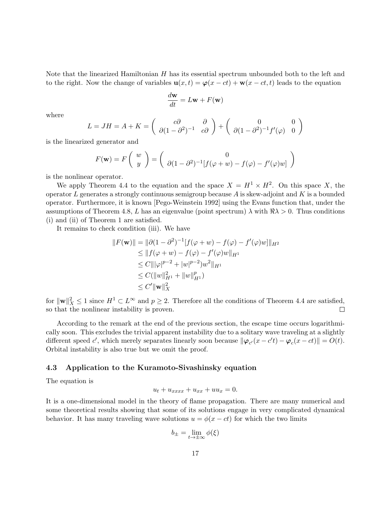Note that the linearized Hamiltonian H has its essential spectrum unbounded both to the left and to the right. Now the change of variables  $\mathbf{u}(x, t) = \varphi(x - ct) + \mathbf{w}(x - ct, t)$  leads to the equation

$$
\frac{d\mathbf{w}}{dt} = L\mathbf{w} + F(\mathbf{w})
$$

where

$$
L = JH = A + K = \begin{pmatrix} c\partial & \partial \\ \partial(1 - \partial^2)^{-1} & c\partial \end{pmatrix} + \begin{pmatrix} 0 & 0 \\ \partial(1 - \partial^2)^{-1}f'(\varphi) & 0 \end{pmatrix}
$$

is the linearized generator and

$$
F(\mathbf{w}) = F\begin{pmatrix} w \\ y \end{pmatrix} = \begin{pmatrix} 0 \\ \partial(1-\partial^2)^{-1}[f(\varphi+w) - f(\varphi) - f'(\varphi)w] \end{pmatrix}
$$

is the nonlinear operator.

We apply Theorem 4.4 to the equation and the space  $X = H^1 \times H^2$ . On this space X, the operator L generates a strongly continuous semigroup because  $A$  is skew-adjoint and  $K$  is a bounded operator. Furthermore, it is known [Pego-Weinstein 1992] using the Evans function that, under the assumptions of Theorem 4.8, L has an eigenvalue (point spectrum)  $\lambda$  with  $\Re \lambda > 0$ . Thus conditions (i) and (ii) of Theorem 1 are satisfied.

It remains to check condition (iii). We have

$$
||F(\mathbf{w})|| = ||\partial (1 - \partial^2)^{-1}[f(\varphi + w) - f(\varphi) - f'(\varphi)w]||_{H^2}
$$
  
\n
$$
\leq ||f(\varphi + w) - f(\varphi) - f'(\varphi)w||_{H^1}
$$
  
\n
$$
\leq C|||\varphi|^{p-2} + |w|^{p-2})w^2||_{H^1}
$$
  
\n
$$
\leq C(||w||_{H^1}^2 + ||w||_{H^1}^p)
$$
  
\n
$$
\leq C'||\mathbf{w}||_X^2
$$

for  $\|\mathbf{w}\|_X^2 \leq 1$  since  $H^1 \subset L^{\infty}$  and  $p \geq 2$ . Therefore all the conditions of Theorem 4.4 are satisfied, so that the nonlinear instability is proven.  $\Box$ 

According to the remark at the end of the previous section, the escape time occurs logarithmically soon. This excludes the trivial apparent instability due to a solitary wave traveling at a slightly different speed c', which merely separates linearly soon because  $\|\boldsymbol{\varphi}_{c'}(x-c't) - \boldsymbol{\varphi}_c(x-ct)\| = O(t)$ . Orbital instability is also true but we omit the proof.

## 4.3 Application to the Kuramoto-Sivashinsky equation

The equation is

$$
u_t + u_{xxxx} + u_{xx} + uu_x = 0.
$$

It is a one-dimensional model in the theory of flame propagation. There are many numerical and some theoretical results showing that some of its solutions engage in very complicated dynamical behavior. It has many traveling wave solutions  $u = \phi(x - ct)$  for which the two limits

$$
b_{\pm} = \lim_{t \to \pm \infty} \phi(\xi)
$$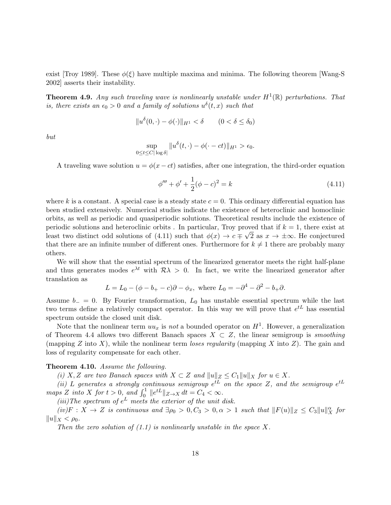exist [Troy 1989]. These  $\phi(\xi)$  have multiple maxima and minima. The following theorem [Wang-S 2002] asserts their instability.

**Theorem 4.9.** Any such traveling wave is nonlinearly unstable under  $H^1(\mathbb{R})$  perturbations. That is, there exists an  $\epsilon_0 > 0$  and a family of solutions  $u^{\delta}(t, x)$  such that

$$
||u^{\delta}(0,\cdot)-\phi(\cdot)||_{H^1}<\delta \qquad (0<\delta\leq \delta_0)
$$

but

$$
\sup_{0\leq t\leq C|\log\delta|}||u^{\delta}(t,\cdot)-\phi(\cdot-ct)||_{H^1}>\epsilon_0.
$$

A traveling wave solution  $u = \phi(x - ct)$  satisfies, after one integration, the third-order equation

$$
\phi''' + \phi' + \frac{1}{2}(\phi - c)^2 = k \tag{4.11}
$$

where k is a constant. A special case is a steady state  $c = 0$ . This ordinary differential equation has been studied extensively. Numerical studies indicate the existence of heteroclinic and homoclinic orbits, as well as periodic and quasiperiodic solutions. Theoretical results include the existence of periodic solutions and heteroclinic orbits . In particular, Troy proved that if  $k = 1$ , there exist at least two distinct odd solutions of (4.11) such that  $\phi(x) \to c \mp \sqrt{2}$  as  $x \to \pm \infty$ . He conjectured that there are an infinite number of different ones. Furthermore for  $k \neq 1$  there are probably many others.

We will show that the essential spectrum of the linearized generator meets the right half-plane and thus generates modes  $e^{\lambda t}$  with  $\mathcal{R}\lambda > 0$ . In fact, we write the linearized generator after translation as

$$
L = L_0 - (\phi - b_+ - c)\partial - \phi_x, \text{ where } L_0 = -\partial^4 - \partial^2 - b_+\partial.
$$

Assume  $b_ - = 0$ . By Fourier transformation,  $L_0$  has unstable essential spectrum while the last two terms define a relatively compact operator. In this way we will prove that  $e^{tL}$  has essential spectrum outside the closed unit disk.

Note that the nonlinear term  $uu_x$  is not a bounded operator on  $H^1$ . However, a generalization of Theorem 4.4 allows two different Banach spaces  $X \subset Z$ , the linear semigroup is *smoothing* (mapping Z into X), while the nonlinear term loses regularity (mapping X into Z). The gain and loss of regularity compensate for each other.

#### **Theorem 4.10.** Assume the following.

(i) X, Z are two Banach spaces with  $X \subset Z$  and  $||u||_Z \leq C_1||u||_X$  for  $u \in X$ .

(ii) L generates a strongly continuous semigroup  $e^{tL}$  on the space Z, and the semigroup  $e^{tL}$ maps Z into X for  $t > 0$ , and  $\int_0^1 ||e^{tL}||_{Z\rightarrow X} dt = C_4 < \infty$ .

(iii) The spectrum of  $e^L$  meets the exterior of the unit disk.

 $(iv)F: X \to Z$  is continuous and  $\exists \rho_0 > 0, C_3 > 0, \alpha > 1$  such that  $||F(u)||_Z \leq C_3||u||_X^{\alpha}$  for  $||u||_X < \rho_0$ .

Then the zero solution of  $(1.1)$  is nonlinearly unstable in the space X.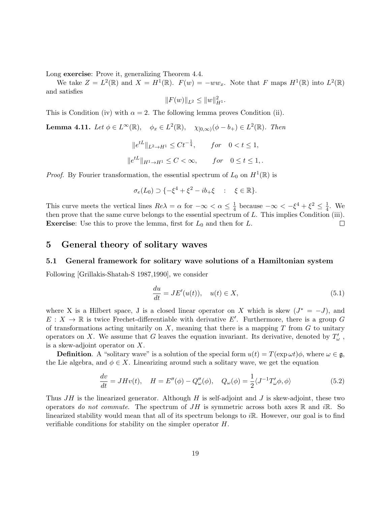Long **exercise**: Prove it, generalizing Theorem 4.4.

We take  $Z = L^2(\mathbb{R})$  and  $X = H^1(\mathbb{R})$ .  $F(w) = -ww_x$ . Note that F maps  $H^1(\mathbb{R})$  into  $L^2(\mathbb{R})$ and satisfies

$$
||F(w)||_{L^2} \le ||w||_{H^1}^2.
$$

This is Condition (iv) with  $\alpha = 2$ . The following lemma proves Condition (ii).

**Lemma 4.11.** Let  $\phi \in L^{\infty}(\mathbb{R})$ ,  $\phi_x \in L^2(\mathbb{R})$ ,  $\chi_{[0,\infty)}(\phi - b_+) \in L^2(\mathbb{R})$ . Then

$$
||e^{tL}||_{L^2 \to H^1} \leq Ct^{-\frac{1}{4}}, \quad for \quad 0 < t \leq 1,
$$
  

$$
||e^{tL}||_{H^1 \to H^1} \leq C < \infty, \quad for \quad 0 \leq t \leq 1,
$$

*Proof.* By Fourier transformation, the essential spectrum of  $L_0$  on  $H^1(\mathbb{R})$  is

$$
\sigma_e(L_0) \supset \{-\xi^4 + \xi^2 - ib_+\xi \ : \ \xi \in \mathbb{R}\}.
$$

This curve meets the vertical lines  $Re\lambda = \alpha$  for  $-\infty < \alpha \leq \frac{1}{4}$  $\frac{1}{4}$  because  $-\infty < -\xi^4 + \xi^2 \leq \frac{1}{4}$  $\frac{1}{4}$ . We then prove that the same curve belongs to the essential spectrum of L. This implies Condition (iii). **Exercise:** Use this to prove the lemma, first for  $L_0$  and then for  $L$ . П

## 5 General theory of solitary waves

## 5.1 General framework for solitary wave solutions of a Hamiltonian system

Following [Grillakis-Shatah-S 1987,1990], we consider

$$
\frac{du}{dt} = JE'(u(t)), \quad u(t) \in X,\tag{5.1}
$$

where X is a Hilbert space, J is a closed linear operator on X which is skew  $(J^* = -J)$ , and  $E: X \to \mathbb{R}$  is twice Frechet-differentiable with derivative E'. Furthermore, there is a group G of transformations acting unitarily on  $X$ , meaning that there is a mapping  $T$  from  $G$  to unitary operators on X. We assume that G leaves the equation invariant. Its derivative, denoted by  $T_{\omega}$ , is a skew-adjoint operator on X.

**Definition.** A "solitary wave" is a solution of the special form  $u(t) = T(\exp \omega t)\phi$ , where  $\omega \in \mathfrak{g}$ , the Lie algebra, and  $\phi \in X$ . Linearizing around such a solitary wave, we get the equation

$$
\frac{dv}{dt} = JHv(t), \quad H = E''(\phi) - Q''_{\omega}(\phi), \quad Q_{\omega}(\phi) = \frac{1}{2} \langle J^{-1}T'_{\omega}\phi, \phi \rangle \tag{5.2}
$$

Thus  $JH$  is the linearized generator. Although H is self-adjoint and J is skew-adjoint, these two operators do not commute. The spectrum of  $JH$  is symmetric across both axes R and  $i\mathbb{R}$ . So linearized stability would mean that all of its spectrum belongs to *i*R. However, our goal is to find verifiable conditions for stability on the simpler operator H.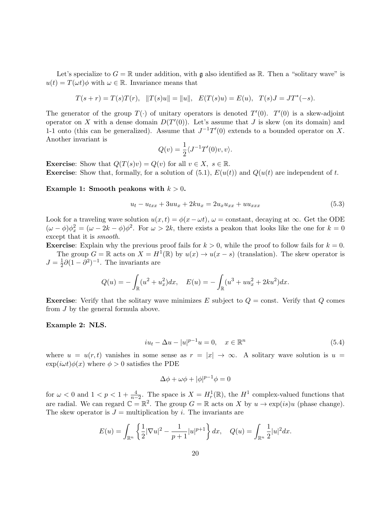Let's specialize to  $G = \mathbb{R}$  under addition, with q also identified as  $\mathbb{R}$ . Then a "solitary wave" is  $u(t) = T(\omega t) \phi$  with  $\omega \in \mathbb{R}$ . Invariance means that

$$
T(s+r)=T(s)T(r),\ \ \|T(s)u\|=\|u\|,\ \ E(T(s)u)=E(u),\ \ T(s)J=JT^*(-s).
$$

The generator of the group  $T(\cdot)$  of unitary operators is denoted  $T'(0)$ .  $T'(0)$  is a skew-adjoint operator on X with a dense domain  $D(T'(0))$ . Let's assume that J is skew (on its domain) and 1-1 onto (this can be generalized). Assume that  $J^{-1}T'(0)$  extends to a bounded operator on X. Another invariant is

$$
Q(v) = \frac{1}{2} \langle J^{-1}T'(0)v, v \rangle.
$$

**Exercise:** Show that  $Q(T(s)v) = Q(v)$  for all  $v \in X$ ,  $s \in \mathbb{R}$ . **Exercise:** Show that, formally, for a solution of  $(5.1)$ ,  $E(u(t))$  and  $Q(u(t))$  are independent of t.

## Example 1: Smooth peakons with  $k > 0$ .

$$
u_t - u_{txx} + 3uu_x + 2ku_x = 2u_xu_{xx} + uu_{xxx}
$$
\n(5.3)

Look for a traveling wave solution  $u(x, t) = \phi(x - \omega t)$ ,  $\omega =$  constant, decaying at  $\infty$ . Get the ODE  $(\omega - \phi)\phi_x^2 = (\omega - 2k - \phi)\phi^2$ . For  $\omega > 2k$ , there exists a peakon that looks like the one for  $k = 0$ except that it is *smooth*.

**Exercise:** Explain why the previous proof fails for  $k > 0$ , while the proof to follow fails for  $k = 0$ . The group  $G = \mathbb{R}$  acts on  $X = H^1(\mathbb{R})$  by  $u(x) \to u(x - s)$  (translation). The skew operator is  $J=\frac{1}{2}$  $\frac{1}{2}\partial(1-\partial^2)^{-1}$ . The invariants are

$$
Q(u) = -\int_{\mathbb{R}} (u^2 + u_x^2) dx, \quad E(u) = -\int_{\mathbb{R}} (u^3 + uu_x^2 + 2ku^2) dx.
$$

**Exercise:** Verify that the solitary wave minimizes E subject to  $Q = \text{const.}$  Verify that  $Q$  comes from J by the general formula above.

## Example 2: NLS.

$$
iu_t - \Delta u - |u|^{p-1}u = 0, \quad x \in \mathbb{R}^n
$$
\n
$$
(5.4)
$$

where  $u = u(r, t)$  vanishes in some sense as  $r = |x| \rightarrow \infty$ . A solitary wave solution is  $u =$  $\exp(i\omega t)\phi(x)$  where  $\phi > 0$  satisfies the PDE

$$
\Delta \phi + \omega \phi + |\phi|^{p-1} \phi = 0
$$

for  $\omega < 0$  and  $1 < p < 1 + \frac{4}{n-2}$ . The space is  $X = H_r^1(\mathbb{R})$ , the  $H^1$  complex-valued functions that are radial. We can regard  $\mathbb{C} = \mathbb{R}^2$ . The group  $G = \mathbb{R}$  acts on X by  $u \to \exp(is)u$  (phase change). The skew operator is  $J =$  multiplication by i. The invariants are

$$
E(u) = \int_{\mathbb{R}^n} \left\{ \frac{1}{2} |\nabla u|^2 - \frac{1}{p+1} |u|^{p+1} \right\} dx, \quad Q(u) = \int_{\mathbb{R}^n} \frac{1}{2} |u|^2 dx.
$$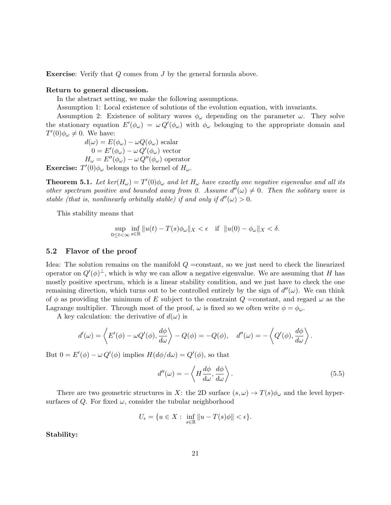Exercise: Verify that Q comes from J by the general formula above.

#### Return to general discussion.

In the abstract setting, we make the following assumptions.

Assumption 1: Local existence of solutions of the evolution equation, with invariants.

Assumption 2: Existence of solitary waves  $\phi_{\omega}$  depending on the parameter  $\omega$ . They solve the stationary equation  $E'(\phi_\omega) = \omega Q'(\phi_\omega)$  with  $\phi_\omega$  belonging to the appropriate domain and  $T'(0)\phi_\omega \neq 0$ . We have:

> $d(\omega) = E(\phi_{\omega}) - \omega Q(\phi_{\omega})$  scalar  $0 = E'(\phi_\omega) - \omega Q'(\phi_\omega)$  vector  $H_{\omega} = E''(\phi_{\omega}) - \omega Q''(\phi_{\omega})$  operator

**Exercise:**  $T'(0)\phi_\omega$  belongs to the kernel of  $H_\omega$ .

**Theorem 5.1.** Let  $\text{ker}(H_{\omega}) = T'(0)\phi_{\omega}$  and let  $H_{\omega}$  have exactly one negative eigenvalue and all its other spectrum positive and bounded away from 0. Assume  $d''(\omega) \neq 0$ . Then the solitary wave is stable (that is, nonlinearly orbitally stable) if and only if  $d''(\omega) > 0$ .

This stability means that

$$
\sup_{0\leq t<\infty} \inf_{s\in\mathbb{R}} \|u(t)-T(s)\phi_{\omega}\|_X < \epsilon \quad \text{if} \quad \|u(0)-\phi_{\omega}\|_X < \delta.
$$

### 5.2 Flavor of the proof

Idea: The solution remains on the manifold  $Q = constant$ , so we just need to check the linearized operator on  $Q'(\phi)^{\perp}$ , which is why we can allow a negative eigenvalue. We are assuming that H has mostly positive spectrum, which is a linear stability condition, and we just have to check the one remaining direction, which turns out to be controlled entirely by the sign of  $d''(\omega)$ . We can think of  $\phi$  as providing the minimum of E subject to the constraint  $Q = constant$ , and regard  $\omega$  as the Lagrange multiplier. Through most of the proof,  $\omega$  is fixed so we often write  $\phi = \phi_{\omega}$ .

A key calculation: the derivative of  $d(\omega)$  is

$$
d'(\omega) = \left\langle E'(\phi) - \omega Q'(\phi), \frac{d\phi}{d\omega} \right\rangle - Q(\phi) = -Q(\phi), \quad d''(\omega) = -\left\langle Q'(\phi), \frac{d\phi}{d\omega} \right\rangle.
$$

But  $0 = E'(\phi) - \omega Q'(\phi)$  implies  $H(d\phi/d\omega) = Q'(\phi)$ , so that

$$
d''(\omega) = -\left\langle H \frac{d\phi}{d\omega}, \frac{d\phi}{d\omega} \right\rangle. \tag{5.5}
$$

There are two geometric structures in X: the 2D surface  $(s, \omega) \to T(s) \phi_\omega$  and the level hypersurfaces of Q. For fixed  $\omega$ , consider the tubular neighborhood

$$
U_{\epsilon} = \{ u \in X : \inf_{s \in \mathbb{R}} ||u - T(s)\phi|| < \epsilon \}.
$$

Stability: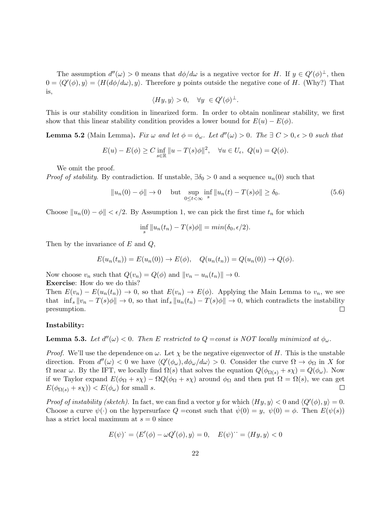The assumption  $d''(\omega) > 0$  means that  $d\phi/d\omega$  is a negative vector for H. If  $y \in Q'(\phi)^{\perp}$ , then  $0 = \langle Q'(\phi), y \rangle = \langle H(d\phi/d\omega), y \rangle$ . Therefore y points outside the negative cone of H. (Why?) That is,

$$
\langle Hy, y \rangle > 0, \quad \forall y \ \in Q'(\phi)^{\perp}.
$$

This is our stability condition in linearized form. In order to obtain nonlinear stability, we first show that this linear stability condition provides a lower bound for  $E(u) - E(\phi)$ .

**Lemma 5.2** (Main Lemma). Fix  $\omega$  and let  $\phi = \phi_{\omega}$ . Let  $d''(\omega) > 0$ . The  $\exists C > 0, \epsilon > 0$  such that

$$
E(u) - E(\phi) \ge C \inf_{s \in \mathbb{R}} ||u - T(s)\phi||^2, \quad \forall u \in U_{\epsilon}, \ Q(u) = Q(\phi).
$$

We omit the proof.

*Proof of stability.* By contradiction. If unstable,  $\exists \delta_0 > 0$  and a sequence  $u_n(0)$  such that

$$
||u_n(0) - \phi|| \to 0 \quad \text{but } \sup_{0 \le t < \infty} \inf_s ||u_n(t) - T(s)\phi|| \ge \delta_0.
$$
 (5.6)

Choose  $\|u_n(0) - \phi\| < \epsilon/2$ . By Assumption 1, we can pick the first time  $t_n$  for which

$$
\inf_{s} ||u_n(t_n) - T(s)\phi|| = \min(\delta_0, \epsilon/2).
$$

Then by the invariance of  $E$  and  $Q$ ,

$$
E(u_n(t_n)) = E(u_n(0)) \to E(\phi), \quad Q(u_n(t_n)) = Q(u_n(0)) \to Q(\phi).
$$

Now choose  $v_n$  such that  $Q(v_n) = Q(\phi)$  and  $||v_n - u_n(t_n)|| \to 0$ . Exercise: How do we do this?

Then  $E(v_n) - E(u_n(t_n)) \to 0$ , so that  $E(v_n) \to E(\phi)$ . Applying the Main Lemma to  $v_n$ , we see that  $\inf_s ||v_n - T(s)\phi|| \to 0$ , so that  $\inf_s ||u_n(t_n) - T(s)\phi|| \to 0$ , which contradicts the instability  $\Box$ presumption.

#### Instability:

**Lemma 5.3.** Let  $d''(\omega) < 0$ . Then E restricted to  $Q = const$  is NOT locally minimized at  $\phi_{\omega}$ .

*Proof.* We'll use the dependence on  $\omega$ . Let  $\chi$  be the negative eigenvector of H. This is the unstable direction. From  $d''(\omega) < 0$  we have  $\langle Q'(\phi_{\omega}), d\phi_{\omega}/d\omega \rangle > 0$ . Consider the curve  $\Omega \to \phi_{\Omega}$  in X for  $\Omega$  near  $\omega$ . By the IFT, we locally find  $\Omega(s)$  that solves the equation  $Q(\phi_{\Omega(s)} + s\chi) = Q(\phi_{\omega})$ . Now if we Taylor expand  $E(\phi_{\Omega} + s\chi) - \Omega Q(\phi_{\Omega} + s\chi)$  around  $\phi_{\Omega}$  and then put  $\Omega = \Omega(s)$ , we can get  $E(\phi_{\Omega(s)} + s\chi)) < E(\phi_\omega)$  for small s.  $\Box$ 

Proof of instability (sketch). In fact, we can find a vector y for which  $\langle Hy, y \rangle < 0$  and  $\langle Q'(\phi), y \rangle = 0$ . Choose a curve  $\psi(\cdot)$  on the hypersurface  $Q = \text{const}$  such that  $\psi(0) = y$ ,  $\psi(0) = \phi$ . Then  $E(\psi(s))$ has a strict local maximum at  $s = 0$  since

$$
E(\psi) = \langle E'(\phi) - \omega Q'(\phi), y \rangle = 0, \quad E(\psi) = \langle Hy, y \rangle < 0
$$